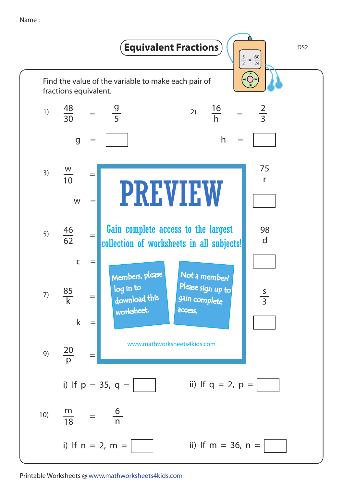Name :